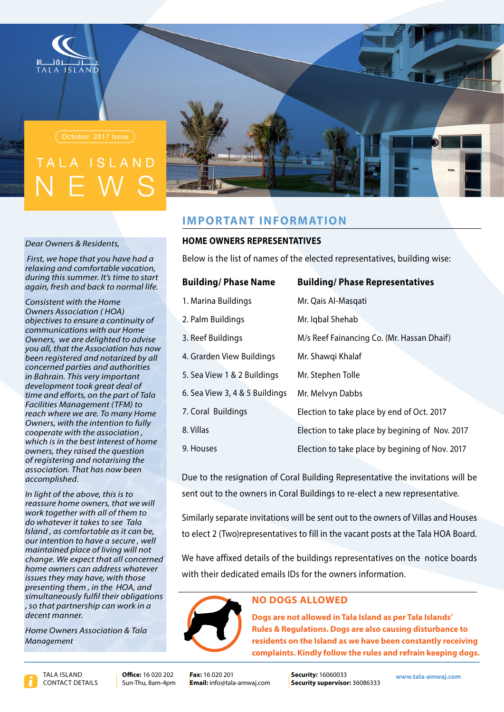

# IAND

#### **Dear Owners & Residents,**

*First, we hope that you have had a relaxing and comfortable vacation. during this summer. It's time to start*  $a$ *again, fresh and back to normal life.* 

*Consistent with the Home <u>Owners Association (HOA)</u> <i><u>objectives</u>* to ensure a continuity of *communications* with our Home *<u>Owners</u>*, we are delighted to advise *you all, that the Association has now been registered and notarized by all authorities and parties concerned in Bahrain. This very important* development took great deal of *time and efforts, on the part of Tala Facilities Management (TFM) to* reach where we are. To many Home **Owners, with the intention to fully** *cooperate with the association*, *which is in the best interest of home diaceron the veraised the question of registering and notarising the association. That has now been .accomplished*

In light of the above, this is to *reassure home owners, that we will work* to ae ther with all of them to do whatever it takes to see Tala *Island, as comfortable as it can be,*  $our$  intention to have a secure, well *maintained place of living will not change. We expect that all concerned home* owners can address whatever *issues they may have, with those presenting them, in the HOA, and* simultaneously fulfil their obligations  *a in work can partnership that so ,* decent manner.

**Home Owners Association & Tala** *Management*



# **IMPORTANT INFORMATION**

### **HOME OWNERS REPRESENTATIVES**

Below is the list of names of the elected representatives, building wise:

| <b>Building/Phase Name</b>     | <b>Building/Phase Representatives</b>           |
|--------------------------------|-------------------------------------------------|
| 1. Marina Buildings            | Mr. Qais Al-Masqati                             |
| 2. Palm Buildings              | Mr. Iqbal Shehab                                |
| 3. Reef Buildings              | M/s Reef Fainancing Co. (Mr. Hassan Dhaif)      |
| 4. Grarden View Buildings      | Mr. Shawqi Khalaf                               |
| 5. Sea View 1 & 2 Buildings    | Mr. Stephen Tolle                               |
| 6. Sea View 3, 4 & 5 Buildings | Mr. Melvyn Dabbs                                |
| 7. Coral Buildings             | Election to take place by end of Oct. 2017      |
| 8. Villas                      | Election to take place by begining of Nov. 2017 |
| 9. Houses                      | Election to take place by begining of Nov. 2017 |

 Due to the resignation of Coral Building Representative the invitations will be sent out to the owners in Coral Buildings to re-elect a new representative.

Similarly separate invitations will be sent out to the owners of Villas and Houses to elect 2 (Two)representatives to fill in the vacant posts at the Tala HOA Board.

We have affixed details of the buildings representatives on the notice boards with their dedicated emails IDs for the owners information.



### **NO DOGS ALLOWED**

**Dogs are not allowed in Tala Island as per Tala Islands' Rules & Regulations. Dogs are also causing disturbance to** residents on the Island as we have been constantly receiving complaints. Kindly follow the rules and refrain keeping dogs.

Office: 16.020.202 Sun-Thu, 8am-4pm **Fax:** 16.020.201 **Email:** info@tala-amwaj.com